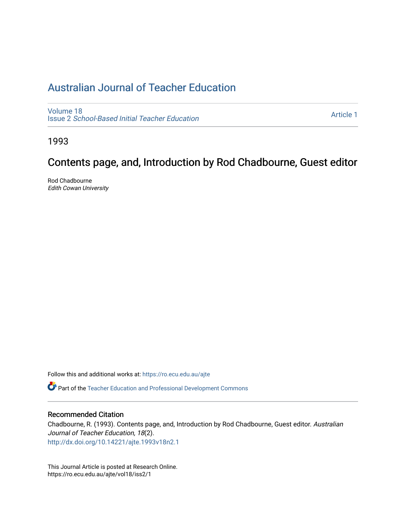# [Australian Journal of Teacher Education](https://ro.ecu.edu.au/ajte)

[Volume 18](https://ro.ecu.edu.au/ajte/vol18) Issue 2 [School-Based Initial Teacher Education](https://ro.ecu.edu.au/ajte/vol18/iss2) 

[Article 1](https://ro.ecu.edu.au/ajte/vol18/iss2/1) 

1993

# Contents page, and, Introduction by Rod Chadbourne, Guest editor

Rod Chadbourne Edith Cowan University

Follow this and additional works at: [https://ro.ecu.edu.au/ajte](https://ro.ecu.edu.au/ajte?utm_source=ro.ecu.edu.au%2Fajte%2Fvol18%2Fiss2%2F1&utm_medium=PDF&utm_campaign=PDFCoverPages) 

Part of the [Teacher Education and Professional Development Commons](http://network.bepress.com/hgg/discipline/803?utm_source=ro.ecu.edu.au%2Fajte%2Fvol18%2Fiss2%2F1&utm_medium=PDF&utm_campaign=PDFCoverPages)

### Recommended Citation

Chadbourne, R. (1993). Contents page, and, Introduction by Rod Chadbourne, Guest editor. Australian Journal of Teacher Education, 18(2). <http://dx.doi.org/10.14221/ajte.1993v18n2.1>

This Journal Article is posted at Research Online. https://ro.ecu.edu.au/ajte/vol18/iss2/1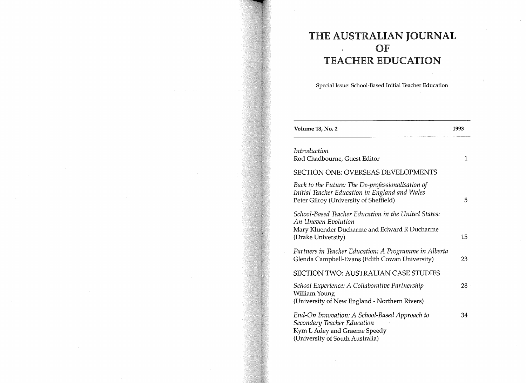## THE AUSTRALIAN JOURNAL OF  $\bar{V}$ TEACHER EDUCATION

Special Issue: School-Based Initial Teacher Education

| Volume 18, No. 2                                                                                                                                  | 1993 |
|---------------------------------------------------------------------------------------------------------------------------------------------------|------|
| Introduction<br>Rod Chadbourne, Guest Editor                                                                                                      | 1    |
| <b>SECTION ONE: OVERSEAS DEVELOPMENTS</b>                                                                                                         |      |
| Back to the Future: The De-professionalisation of<br>Initial Teacher Education in England and Wales<br>Peter Gilroy (University of Sheffield)     | 5    |
| School-Based Teacher Education in the United States:<br>An Uneven Evolution<br>Mary Kluender Ducharme and Edward R Ducharme<br>(Drake University) | 15   |
| Partners in Teacher Education: A Programme in Alberta<br>Glenda Campbell-Evans (Edith Cowan University)                                           | 23   |
| <b>SECTION TWO: AUSTRALIAN CASE STUDIES</b>                                                                                                       |      |
| School Experience: A Collaborative Partnership<br>William Young<br>(University of New England - Northern Rivers)                                  | 28   |
| End-On Innovation: A School-Based Approach to<br>Secondary Teacher Education<br>Kym L Adey and Graeme Speedy<br>(University of South Australia)   | 34   |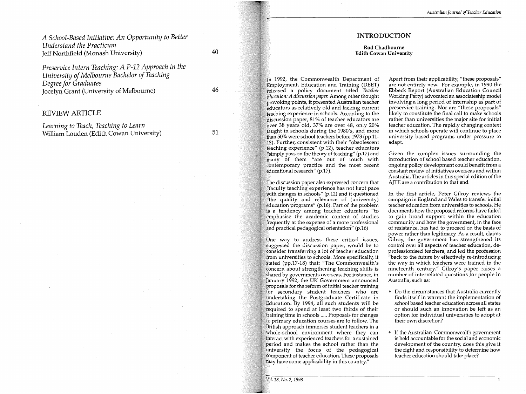#### *Australiall Journal of Teacher Education*

### *A School-Based Initiative: An Opportunity to Better Understand the Practicum*  Jeff Northfield (Monash University)

40

46

*Preservice Intern Teaching: A P-12 Approach in the University of Melbourne Bachelor of Teaching Degree for Graduates*  Jocelyn Grant (University of Melbourne)

### REVIEW ARTICLE

*Learning to Teach, Teaching to Learn*  William Louden (Edith Cowan University)

51

### INTRODUCTION

#### **Rod** Chadbourne Edith Cowan University

In 1992, the Commonwealth Department of Employment, Education and Training (DEET) released a policy document titled *Teacher education: A discussion paper.* Among other thought provoking points, it presented Australian teacher educators as relatively old and lacking current teaching experience in schools. According to the discussion paper, 81 % of teacher educators are over 38 years old, 37% are over 48, only 20% taught in schools during the 1980's, and more than 50% were school teachers before 1973 (pp 11- 12). Further, consistent with their "obsolescent teaching experience" (p.12), teacher educators "simply pass on the theory of teaching" (p.17) and many of them "are out of touch with contemporary practice and the most recent educational research" (p.l7).

The discussion paper also expressed concern that "faculty teaching experience has not kept pace with changes in schools" (p.12) and it questioned "the quality and relevance of (university) education programs" (p.16). Part of the problem is a tendency among teacher educators "to emphasise the academic content of studies frequently at the expense of a more professional and practical pedagogical orientation" (p.16)

One way to address these critical issues, suggested the discussion paper, would be to consider transferring a lot of teacher education from universities to schools. More specifically, it stated (pp.17-18) that: "The Commonwealth's concern about strengthening teaching skills is shared by governments overseas. For instance, in January 1992, the UK Government announced proposals for the reform of initial teacher training for secondary student teachers who are undertaking the Postgraduate Certificate in Education. By 1994, all such students will be required to spend at least two thirds of their training time in schools ..... Proposals for changes to primary education courses are to follow. The British approach immerses student teachers in a whole-school environment where they can interact with experienced teachers for a sustained period and makes the school rather than the university the focus of the pedagogical component of teacher education. These proposals may have some applicability in this country."

Apart from their applicability, "these proposals" are not entirely new. For example, in 1990 the Ebbeck Report (Australian Education Council Working Party) advocated an associateship model involving a long period of internship as part of preservice training. Nor are "these proposals" likely to constitute the final call to make schools rather than universities the major site for initial teacher education. The rapidly changing context in which schools operate will continue to place university based programs under pressure to adapt.

Given the complex issues surrounding the introduction of school based teacher education, ongoing policy development could benefit from a constant review of initiatives overseas and within Australia. The articles in this special edition of the AJTE are a contribution to that end.

In the first article, Peter Gilroy reviews the campaign in England and Wales to transfer initial teacher education from universities to schools. He documents how the proposed reforms have failed to gain broad support within the education community and how the government, in the face of resistance, has had to proceed on the basis of power rather than legitimacy. As a result, claims Gilroy, the government has strengthened its control over all aspects of teacher education, deprofessionised teachers, and led the profession "back to the future by effectively re-introducing the way in which teachers were trained in the nineteenth century." Gilroy's paper raises a number of interrelated questions for people in Australia, such as:

- " Do the circumstances that Australia currently finds itself in warrant the implementation of school based teacher education across all states or should such an innovation be left as an option for individual universities to adopt at their own discretion?
- If the Australian Commonwealth government is held accountable for the social and economic development of the country, does this give it the right and responsibility to determine how teacher education should take place?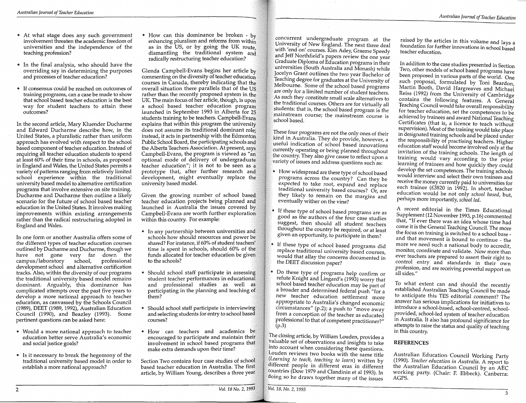- At what stage does any such government involvement threaten the academic freedom of universities and the independence of the teaching profession?
- .. In the final analysis, who should have the overriding say in determining the purposes and processes of teacher education?
- If consensus could be reached on outcomes of training programs, can a case be made to show that school based teacher education is the best way for student teachers to attain these outcomes?

In the second article, Mary Kluender Ducharme and Edward Ducharme describe how, in the United States, a pluralistic rather than uniform approach has evolved with respect to the school based component of teacher education. Instead of requiring all teacher education students to spend at least 60% of their time in schools, as proposed in England and Wales, the United States permits a variety of patterns ranging from relatively limited school experience within the traditional university based model to alternative certification programs that involve extensive on site training. Ducharme and Ducharme then outline a likely scenario for the future of school based teacher education in the United States. It involves making improvements within existing arrangements rather than the radical restructuring adopted in England and Wales.

In one form or another Australia offers some of the different types of teacher education courses outlined by Ducharme and Ducharme, though we have not gone very far down the campus/laboratory school, professional development school and alternative certification tracks. Also, within the diversity of our programs the traditional university based model remains dominant. Arguably, this dominance has complicated attempts over the past five years to develop a more national approach to teacher education, as canvassed by the Schools Council (1989), DEET (1989, 1992), Australian Education Council (1990), and Beazley (1993). Some pertinent questions can be asked here:

- Would a more national approach to teacher education better serve Australia's economic and social justice goals?
- Is it necessary to break the hegemony of the traditional university based model in order to establish a more national approach?

• How can this dominance be broken -  $b<sub>v</sub>$ enhancing pluralism and reforms from within as in the US, or by going the UK route, dismantling the traditional system and radically restructuring teacher education?

Glenda Campbell-Evans begins her article by commenting on the diversity of teacher education courses in Canada, thereby indicating that the overall situation there parallels that of the US rather than the recently proposed system in the UK. The main focus of her article, though, is upon a school based teacher education program launched in September 1993 in Alberta for 25 students training to be teachers. Campbell-Evans explains that within this program the university does not assume its traditional dominant role; instead, it acts in partnership with the Edmonton Public School Board, the participating schools and the Alberta Teachers Association. At present, says Campbell-Evans, the program is viewed as "an optional mode of delivery of undergraduate teacher education"; it is not to be seen as a prototype that, after further research and development, might eventually replace the university based model.

Given the growing number of school based teacher education projects being planned and launched in Australia the issues covered by Campbell-Evans are worth further exploration within this country. For example:

- " In any partnership between universities and schools how should resources and power be shared? For instance, if 60% of student teachers' time is spent in schools, should 60% of the funds allocated for teacher education be given to the schools?
- " Should school staff participate in assessing student teacher performances in educational and professional studies as well as participating in the planning and teaching of them?
- Should school staff participate in interviewing and selecting students for entry to school based courses?
- .. How can teachers and academics be encouraged to participate and maintain their involvement in school based programs that make extra demands upon their time?

Section Two contains four case studies of school based teacher education in Australia. The first article, by William Young, describes a three year

*Vol.* 18 *No.* 2, 1993

concurrent undergraduate program at the University of New England. The next three deal  $\mathbb F$ with 'end on' courses.  $\breve{\rm K}$ im Adey, Graeme Speedy and Jeff Northfield's papers review the one year  $^{\circ}$ Graduate Diploma of Education programs in their  $\hat{\mathbf{y}}$ universities (South Australia and Monash) while Jocelyn Grant outlines the two year Bachelor of Teaching degree for graduates at the University of Melbourne. Some of the school based programs are only for a limited number of student teachers.  $\mathbb A$ s suc $\mathring{\text{h}}$  they constitute small scale alternatives to the traditional courses. Others are for virtually all students: that is, the school based program is the mainstream course; the mainstream course is school based.

These four programs are not the only ones of their kind in Australia. They do provide, however, a useful indication of school based innovations currently operating or being planned throughout the country. They also give cause to reflect upon a  $\sim$  variety of issues and address questions such as:

- How widespread are these type of school based programs across the country? Can they be expected to take root, expand and replace traditional university based courses? Or, are they likely to remain on the margins and eventually wither on the vine?
- .. If these type of school based programs are as good as the authors of the four case studies suggest, then should all student teachers throughout the country be required, or at least given an opportunity, to participate in them?
- .. If these type of school based programs did replace traditional university based courses, would that allay the concerns documented in the DEET discussion paper?
- $\bullet$  Do these type of programs help confirm or refute Knight and Lingard's (1993) worry that school based teacher education may be part of a broader and determined federal push "for a new teacher education settlement more appropriate to Australia's changed economic circumstances" (p.2); a push to "move away from a conception of the teacher as educated professional to that of competent practitioner?" (p.3)

The closing article, by William Louden, provides a ~aluable set of observations and insights to take into account when considering these questions. Louden reviews two books with the same title (Learning to teach, teaching to learn) written by different people in different eras in different countries (Dow 1979 and Clandinin et al 1993). In doing so he draws together many of the issues

raised by the articles in this volume and lays a foundation for further innovations in school based teacher education.

In addition to the case studies presented in Section Two, other models of school based programs have been proposed in various parts of the world. One such proposal, formulated by Toni Beardon, Martin Booth, David Hargreaves and Michael Reiss (1992) from the University of Cambridge contains the following features. A General Teaching Council would take overall responsibility for teacher education, set the competences to be achieved by trainees and award National Teaching Certificates (that is, a licence to teach without supervision). Most of the training would take place in designated training schools and be placed under the responsibility of practising teachers. Higher education staff would become involved only at the invitation of the training schools. The length of training would vary according to the prior learning of trainees and how quickly they could develop the set competences. The training schools would interview and select their own trainees and receive the money currently paid to universities for each trainee (£3820 in 1992). In short, teacher education would be not only school based, but, perhaps more importantly, *school led*.

A recent editorial in the Times Educational Supplement (12 November 1993, p.16) commented that, "If ever there was an idea whose time had come it is the General Teaching Council. The more the focus on training is switched to a school base and that movement is bound to continue - the more we need such a national body to accredit, monitor, coordinate and validate. Now more than ever teachers are prepared to assert their right to control entry and standards in their own profession, and are receiving powerful support on all sides."

To what extent can and should the recently established Australian Teaching Council be made to anticipate this TES editorial comment? The answer has serious implications for initiatives to introduce a school-based, school-centred, schoolprovided, school-led system of teacher education in Australia. It also has profound significance for attempts to raise the status and quality of teaching in this country.

### REFERENCES

Australian Education Council Working Party (1990). Teacher education in Australia. A report to the Australian Education Council by an AEC working party. (Chair: F. Ebbeck). Canberra:<br>AGPS.